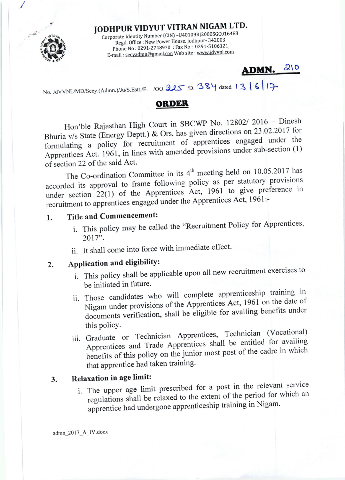# JODHPUR VIDYUT VITRAN NIGAM LTD.

Corporate Identity Number (CIN) -U40109RJ2000SGC016483 Regd. Office : New Power House, Jodhpur- 342003 Phone No: 0291-2748970: Fax No: 0291-5106121 E-mail: secyadmn@gmail.con Web site : www.jdvvnl.com

## ADMN. 210

No. JdVVNL/MD/Secy.(Admn.)/Ju/S.Estt./F. /00.225 /D. 384 dated 13 6 7

## **ORDER**

Hon'ble Rajasthan High Court in SBCWP No. 12802/2016 - Dinesh Bhuria v/s State (Energy Deptt.) & Ors. has given directions on 23.02.2017 for formulating a policy for recruitment of apprentices engaged under the Apprentices Act. 1961, in lines with amended provisions under sub-section (1) of section 22 of the said Act.

The Co-ordination Committee in its 4<sup>th</sup> meeting held on 10.05.2017 has accorded its approval to frame following policy as per statutory provisions under section 22(1) of the Apprentices Act, 1961 to give preference in recruitment to apprentices engaged under the Apprentices Act, 1961:-

#### **Title and Commencement:** 1.

- i. This policy may be called the "Recruitment Policy for Apprentices, 2017".
- ii. It shall come into force with immediate effect.

#### Application and eligibility:  $\overline{2}$ .

- i. This policy shall be applicable upon all new recruitment exercises to be initiated in future.
- ii. Those candidates who will complete apprenticeship training in Nigam under provisions of the Apprentices Act, 1961 on the date of documents verification, shall be eligible for availing benefits under this policy.
- iii. Graduate or Technician Apprentices, Technician (Vocational) Apprentices and Trade Apprentices shall be entitled for availing benefits of this policy on the junior most post of the cadre in which that apprentice had taken training.

#### Relaxation in age limit: 3.

i. The upper age limit prescribed for a post in the relevant service regulations shall be relaxed to the extent of the period for which an apprentice had undergone apprenticeship training in Nigam.

admn\_2017\_A\_IV.docx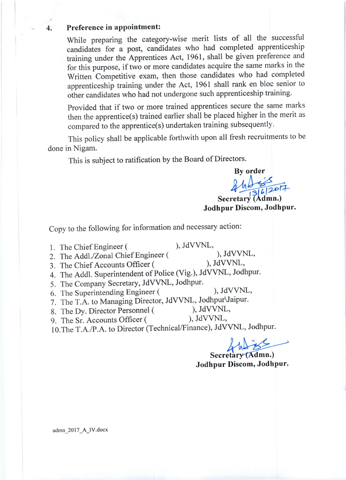### 4. Preference in appointment:

While preparing the category-wise merit lists of all the successful candidates for a post, candidates who had completed apprenticeship training under the Apprentices Act, 1961, shall be given preference and for this purpose, if two or more candidates acquire the same marks in the written competitive exam, then those candidates who had completed apprenticeship training under the Act, 1961 shall rank en bloc senior to other candidates who had not undergone such apprenticeship training.

Provided that if two or more trained apprentices secure the same marks then the apprentice(s) trained earlier shall be placed higher in the merit as compared to the apprentice(s) undertaken training subsequently.

This policy shall be applicable forthwith upon all fresh recruitments to be done in Nigam.

This is subject to ratification by the Board of Directors.

**By order** 

 $44$  $445307$ 

Jodhpur Discom, Jodhpur. Secretary (Admn.)

Copy to the following for information and necessary action:

i. The Chief Engineer (

 $)$ , JdVVNL,

2. The Addl./Zonal Chief Engineer (

), JdVVNL, ), JdVVNL,

- 3. The Chief Accounts Officer (
- 4. The Addl. Superintendent of Police (Vig.), JdVVNL, Jodhpur.
- 5. The Company Secretary, JdVVNL, Jodhpur.
- 6. The Superintending Engineer ( ), JdVVNL,
- 7. The T.A. to Managing Director, JdVVNL, Jodhpur Jaipur.<br>8. The Dy Director Personnel (e.g., JdVVNL,
- 8. The Dy. Director Personnel (
(a) The Sr. Accounts Officer (
(b), JdVVNL,
- 9. The Sr. Accounts Officer (
- 10.The T.A./P.A. to Director (Technical/Finance), JdVVNL, Jodhpur.

 ${\cal A}$ 

Secretary Jodhpur Discom, Jodhpur.

admn\_2017\_A\_lV.docx